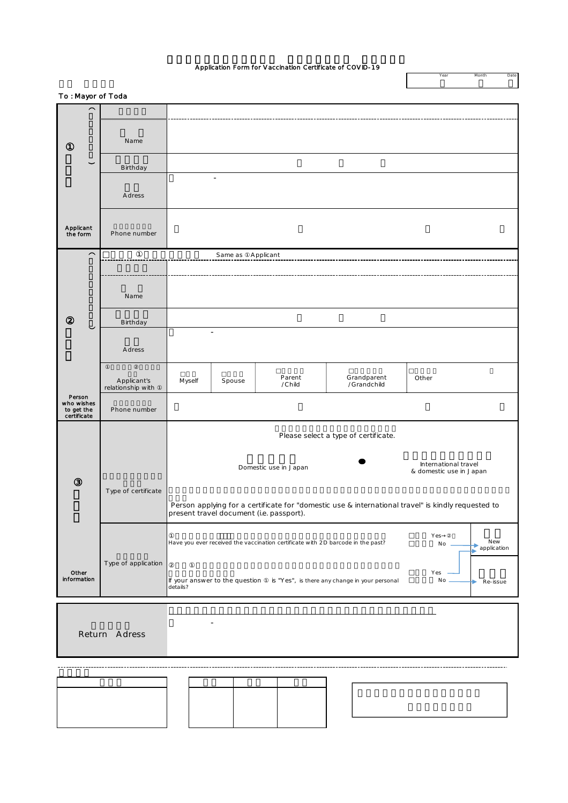## Application Form for Vaccination Certificate of COVID-19

Year Month Dat

| To: Mayor of Toda         |                                  |                                                                                                                                             |                          |        |                                                                               |                     |  |  |
|---------------------------|----------------------------------|---------------------------------------------------------------------------------------------------------------------------------------------|--------------------------|--------|-------------------------------------------------------------------------------|---------------------|--|--|
| $\overline{\phantom{1}}$  |                                  |                                                                                                                                             |                          |        |                                                                               |                     |  |  |
|                           |                                  |                                                                                                                                             |                          |        |                                                                               |                     |  |  |
|                           | Name                             |                                                                                                                                             |                          |        |                                                                               |                     |  |  |
| $\check{ }$               |                                  |                                                                                                                                             |                          |        |                                                                               |                     |  |  |
|                           | Birthday                         |                                                                                                                                             | $\overline{\phantom{a}}$ |        |                                                                               |                     |  |  |
|                           |                                  |                                                                                                                                             |                          |        |                                                                               |                     |  |  |
|                           | A dress                          |                                                                                                                                             |                          |        |                                                                               |                     |  |  |
|                           |                                  |                                                                                                                                             |                          |        |                                                                               |                     |  |  |
| Applicant<br>the form     | Phone number                     |                                                                                                                                             |                          |        |                                                                               |                     |  |  |
| $\sim$                    |                                  |                                                                                                                                             |                          |        |                                                                               |                     |  |  |
|                           | Same as<br>Applicant             |                                                                                                                                             |                          |        |                                                                               |                     |  |  |
|                           |                                  |                                                                                                                                             |                          |        |                                                                               |                     |  |  |
|                           | Name                             |                                                                                                                                             |                          |        |                                                                               |                     |  |  |
|                           |                                  |                                                                                                                                             |                          |        |                                                                               |                     |  |  |
| $\check{ }$               | Birthday                         |                                                                                                                                             | $\overline{\phantom{a}}$ |        |                                                                               |                     |  |  |
|                           |                                  |                                                                                                                                             |                          |        |                                                                               |                     |  |  |
|                           | A dress                          |                                                                                                                                             |                          |        |                                                                               |                     |  |  |
|                           |                                  |                                                                                                                                             |                          | Parent | Grandparent                                                                   | Other               |  |  |
|                           | Applicant's<br>relationship with | Myself                                                                                                                                      | Spouse                   | /Child | /Grandchild                                                                   |                     |  |  |
| Person<br>who wishes      | Phone number                     |                                                                                                                                             |                          |        |                                                                               |                     |  |  |
| to get the<br>certificate |                                  |                                                                                                                                             |                          |        |                                                                               |                     |  |  |
|                           |                                  | Please select a type of certificate.                                                                                                        |                          |        |                                                                               |                     |  |  |
|                           |                                  |                                                                                                                                             |                          |        |                                                                               |                     |  |  |
|                           |                                  | International travel<br>Domestic use in Japan<br>& domestic use in Japan                                                                    |                          |        |                                                                               |                     |  |  |
|                           |                                  |                                                                                                                                             |                          |        |                                                                               |                     |  |  |
|                           | Type of certificate              |                                                                                                                                             |                          |        |                                                                               |                     |  |  |
|                           |                                  | Person applying for a certificate for "domestic use & international travel" is kindly requested to present travel document (i.e. passport). |                          |        |                                                                               |                     |  |  |
|                           |                                  |                                                                                                                                             |                          |        |                                                                               |                     |  |  |
|                           |                                  | Yes<br>New<br>Have you ever received the vaccination certificate with 2D barcode in the past?<br>$No -$<br><b>application</b>               |                          |        |                                                                               |                     |  |  |
|                           | Type of application              |                                                                                                                                             |                          |        |                                                                               |                     |  |  |
| Other<br>information      |                                  |                                                                                                                                             |                          |        |                                                                               | Yes                 |  |  |
|                           |                                  | details?                                                                                                                                    |                          |        | If your answer to the question is "Yes", is there any change in your personal | No<br>Re-issue<br>► |  |  |
|                           |                                  |                                                                                                                                             |                          |        |                                                                               |                     |  |  |
| ٠                         |                                  |                                                                                                                                             |                          |        |                                                                               |                     |  |  |
|                           | Return Adress                    |                                                                                                                                             |                          |        |                                                                               |                     |  |  |
|                           |                                  |                                                                                                                                             |                          |        |                                                                               |                     |  |  |
|                           |                                  |                                                                                                                                             |                          |        |                                                                               |                     |  |  |
|                           |                                  |                                                                                                                                             |                          |        |                                                                               |                     |  |  |